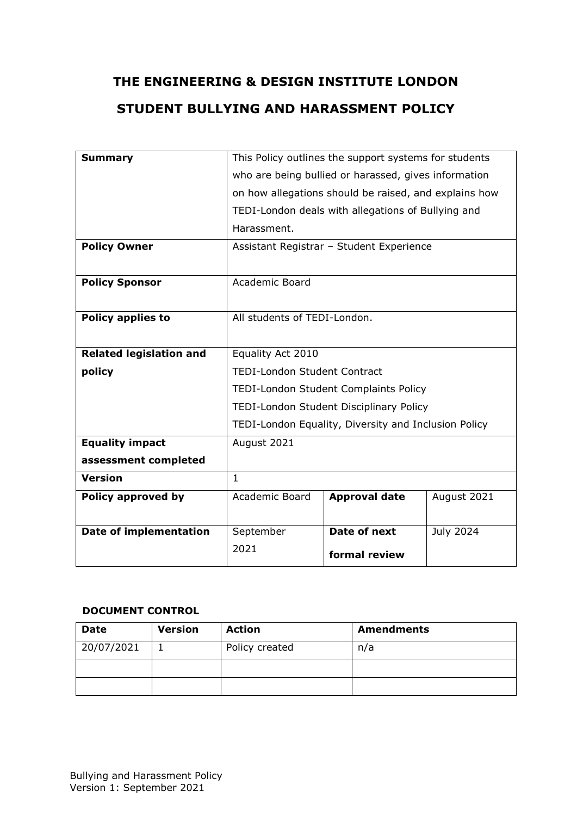# **THE ENGINEERING & DESIGN INSTITUTE LONDON STUDENT BULLYING AND HARASSMENT POLICY**

| <b>Summary</b>                 | This Policy outlines the support systems for students |                      |             |  |  |
|--------------------------------|-------------------------------------------------------|----------------------|-------------|--|--|
|                                | who are being bullied or harassed, gives information  |                      |             |  |  |
|                                | on how allegations should be raised, and explains how |                      |             |  |  |
|                                | TEDI-London deals with allegations of Bullying and    |                      |             |  |  |
|                                | Harassment.                                           |                      |             |  |  |
| <b>Policy Owner</b>            | Assistant Registrar - Student Experience              |                      |             |  |  |
|                                |                                                       |                      |             |  |  |
| <b>Policy Sponsor</b>          | Academic Board                                        |                      |             |  |  |
|                                |                                                       |                      |             |  |  |
| <b>Policy applies to</b>       | All students of TEDI-London.                          |                      |             |  |  |
|                                |                                                       |                      |             |  |  |
| <b>Related legislation and</b> | Equality Act 2010                                     |                      |             |  |  |
| policy                         | TEDI-London Student Contract                          |                      |             |  |  |
|                                | TEDI-London Student Complaints Policy                 |                      |             |  |  |
|                                | TEDI-London Student Disciplinary Policy               |                      |             |  |  |
|                                | TEDI-London Equality, Diversity and Inclusion Policy  |                      |             |  |  |
| <b>Equality impact</b>         | August 2021                                           |                      |             |  |  |
| assessment completed           |                                                       |                      |             |  |  |
| <b>Version</b>                 | $\mathbf{1}$                                          |                      |             |  |  |
| Policy approved by             | <b>Academic Board</b>                                 | <b>Approval date</b> | August 2021 |  |  |
|                                |                                                       |                      |             |  |  |
| <b>Date of implementation</b>  | September                                             | Date of next         | July 2024   |  |  |
|                                | 2021                                                  | formal review        |             |  |  |
|                                |                                                       |                      |             |  |  |

#### **DOCUMENT CONTROL**

| <b>Date</b> | <b>Version</b> | <b>Action</b>  | <b>Amendments</b> |
|-------------|----------------|----------------|-------------------|
| 20/07/2021  |                | Policy created | n/a               |
|             |                |                |                   |
|             |                |                |                   |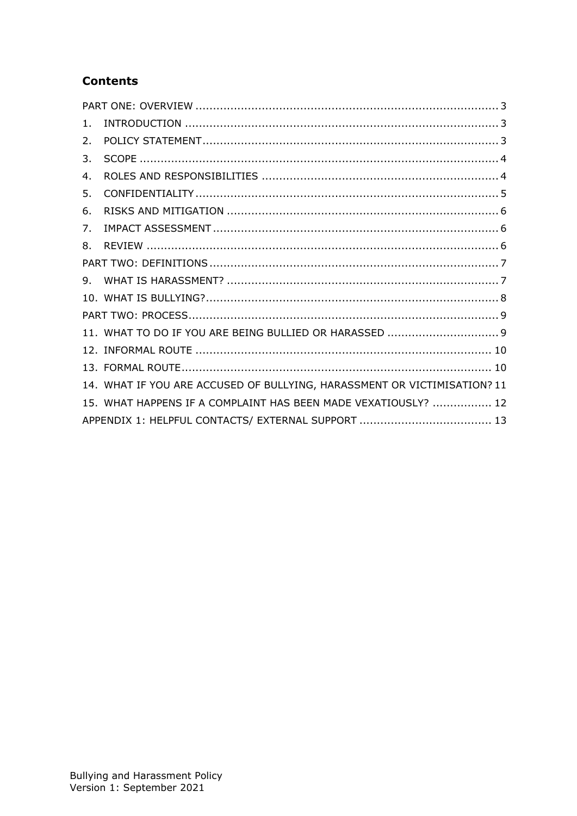#### **Contents**

| 1. |                                                                          |  |
|----|--------------------------------------------------------------------------|--|
| 2. |                                                                          |  |
| 3. |                                                                          |  |
| 4. |                                                                          |  |
| 5. |                                                                          |  |
| 6. |                                                                          |  |
| 7. |                                                                          |  |
| 8. |                                                                          |  |
|    |                                                                          |  |
| 9. |                                                                          |  |
|    |                                                                          |  |
|    |                                                                          |  |
|    |                                                                          |  |
|    |                                                                          |  |
|    |                                                                          |  |
|    | 14. WHAT IF YOU ARE ACCUSED OF BULLYING, HARASSMENT OR VICTIMISATION? 11 |  |
|    | 15. WHAT HAPPENS IF A COMPLAINT HAS BEEN MADE VEXATIOUSLY?  12           |  |
|    |                                                                          |  |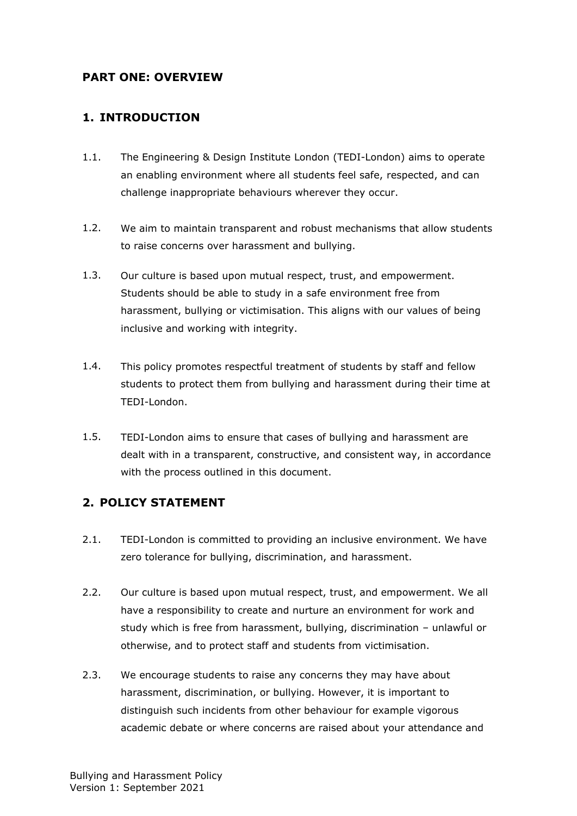#### <span id="page-2-0"></span>**PART ONE: OVERVIEW**

#### <span id="page-2-1"></span>**1. INTRODUCTION**

- 1.1. The Engineering & Design Institute London (TEDI-London) aims to operate an enabling environment where all students feel safe, respected, and can challenge inappropriate behaviours wherever they occur.
- 1.2. We aim to maintain transparent and robust mechanisms that allow students to raise concerns over harassment and bullying.
- 1.3. Our culture is based upon mutual respect, trust, and empowerment. Students should be able to study in a safe environment free from harassment, bullying or victimisation. This aligns with our values of being inclusive and working with integrity.
- 1.4. This policy promotes respectful treatment of students by staff and fellow students to protect them from bullying and harassment during their time at TEDI-London.
- 1.5. TEDI-London aims to ensure that cases of bullying and harassment are dealt with in a transparent, constructive, and consistent way, in accordance with the process outlined in this document.

#### <span id="page-2-2"></span>**2. POLICY STATEMENT**

- 2.1. TEDI-London is committed to providing an inclusive environment. We have zero tolerance for bullying, discrimination, and harassment.
- 2.2. Our culture is based upon mutual respect, trust, and empowerment. We all have a responsibility to create and nurture an environment for work and study which is free from harassment, bullying, discrimination – unlawful or otherwise, and to protect staff and students from victimisation.
- 2.3. We encourage students to raise any concerns they may have about harassment, discrimination, or bullying. However, it is important to distinguish such incidents from other behaviour for example vigorous academic debate or where concerns are raised about your attendance and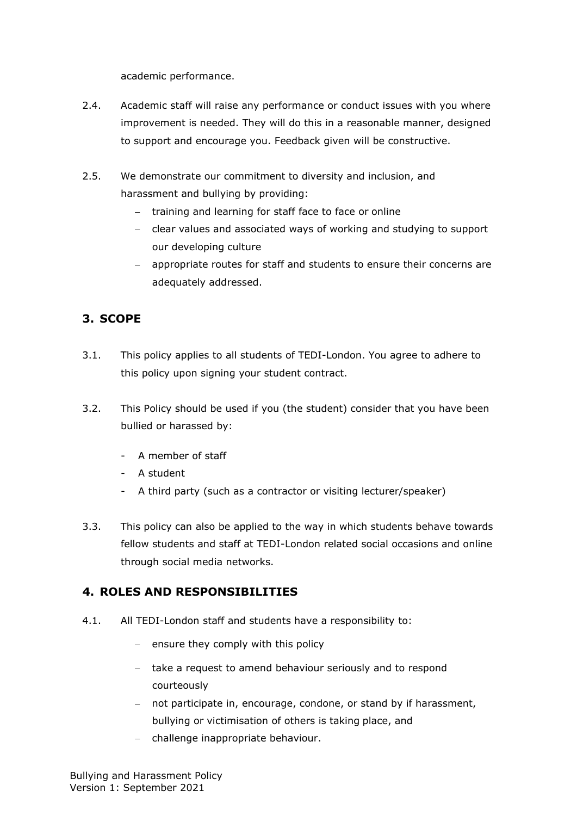academic performance.

- 2.4. Academic staff will raise any performance or conduct issues with you where improvement is needed. They will do this in a reasonable manner, designed to support and encourage you. Feedback given will be constructive.
- 2.5. We demonstrate our commitment to diversity and inclusion, and harassment and bullying by providing:
	- − training and learning for staff face to face or online
	- − clear values and associated ways of working and studying to support our developing culture
	- − appropriate routes for staff and students to ensure their concerns are adequately addressed.

# <span id="page-3-0"></span>**3. SCOPE**

- 3.1. This policy applies to all students of TEDI-London. You agree to adhere to this policy upon signing your student contract.
- 3.2. This Policy should be used if you (the student) consider that you have been bullied or harassed by:
	- A member of staff
	- A student
	- A third party (such as a contractor or visiting lecturer/speaker)
- 3.3. This policy can also be applied to the way in which students behave towards fellow students and staff at TEDI-London related social occasions and online through social media networks.

## <span id="page-3-1"></span>**4. ROLES AND RESPONSIBILITIES**

- 4.1. All TEDI-London staff and students have a responsibility to:
	- − ensure they comply with this policy
	- − take a request to amend behaviour seriously and to respond courteously
	- − not participate in, encourage, condone, or stand by if harassment, bullying or victimisation of others is taking place, and
	- − challenge inappropriate behaviour.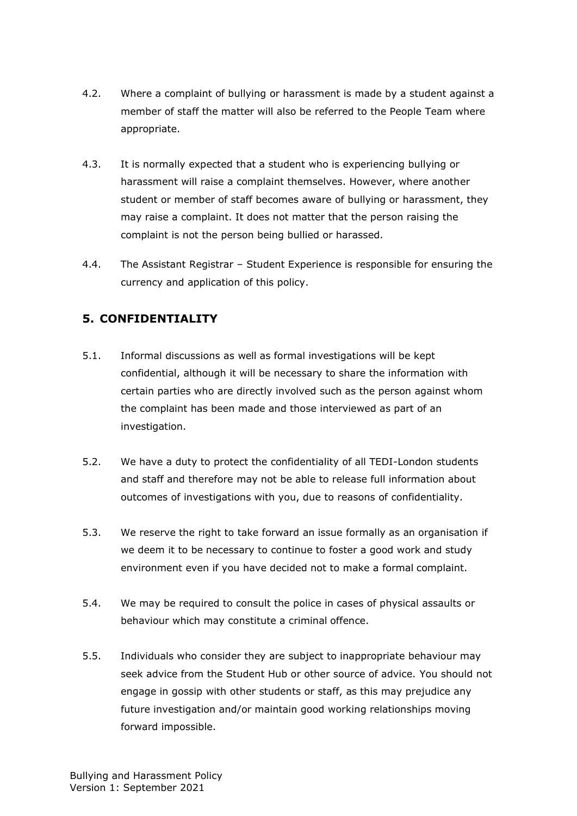- 4.2. Where a complaint of bullying or harassment is made by a student against a member of staff the matter will also be referred to the People Team where appropriate.
- 4.3. It is normally expected that a student who is experiencing bullying or harassment will raise a complaint themselves. However, where another student or member of staff becomes aware of bullying or harassment, they may raise a complaint. It does not matter that the person raising the complaint is not the person being bullied or harassed.
- 4.4. The Assistant Registrar Student Experience is responsible for ensuring the currency and application of this policy.

# <span id="page-4-0"></span>**5. CONFIDENTIALITY**

- 5.1. Informal discussions as well as formal investigations will be kept confidential, although it will be necessary to share the information with certain parties who are directly involved such as the person against whom the complaint has been made and those interviewed as part of an investigation.
- 5.2. We have a duty to protect the confidentiality of all TEDI-London students and staff and therefore may not be able to release full information about outcomes of investigations with you, due to reasons of confidentiality.
- 5.3. We reserve the right to take forward an issue formally as an organisation if we deem it to be necessary to continue to foster a good work and study environment even if you have decided not to make a formal complaint.
- 5.4. We may be required to consult the police in cases of physical assaults or behaviour which may constitute a criminal offence.
- 5.5. Individuals who consider they are subject to inappropriate behaviour may seek advice from the Student Hub or other source of advice. You should not engage in gossip with other students or staff, as this may prejudice any future investigation and/or maintain good working relationships moving forward impossible.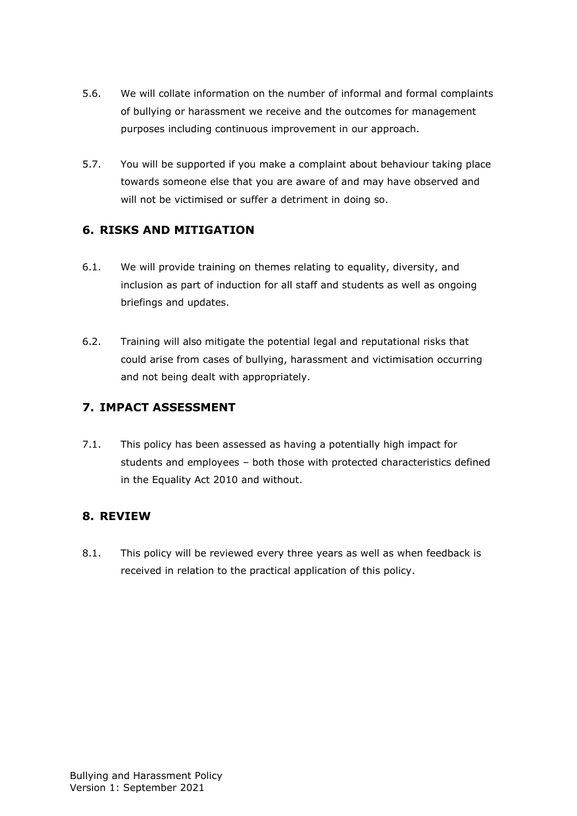- 5.6. We will collate information on the number of informal and formal complaints of bullying or harassment we receive and the outcomes for management purposes including continuous improvement in our approach.
- 5.7. You will be supported if you make a complaint about behaviour taking place towards someone else that you are aware of and may have observed and will not be victimised or suffer a detriment in doing so.

#### <span id="page-5-0"></span>**6. RISKS AND MITIGATION**

- 6.1. We will provide training on themes relating to equality, diversity, and inclusion as part of induction for all staff and students as well as ongoing briefings and updates.
- 6.2. Training will also mitigate the potential legal and reputational risks that could arise from cases of bullying, harassment and victimisation occurring and not being dealt with appropriately.

## <span id="page-5-1"></span>**7. IMPACT ASSESSMENT**

7.1. This policy has been assessed as having a potentially high impact for students and employees – both those with protected characteristics defined in the Equality Act 2010 and without.

## <span id="page-5-2"></span>**8. REVIEW**

8.1. This policy will be reviewed every three years as well as when feedback is received in relation to the practical application of this policy.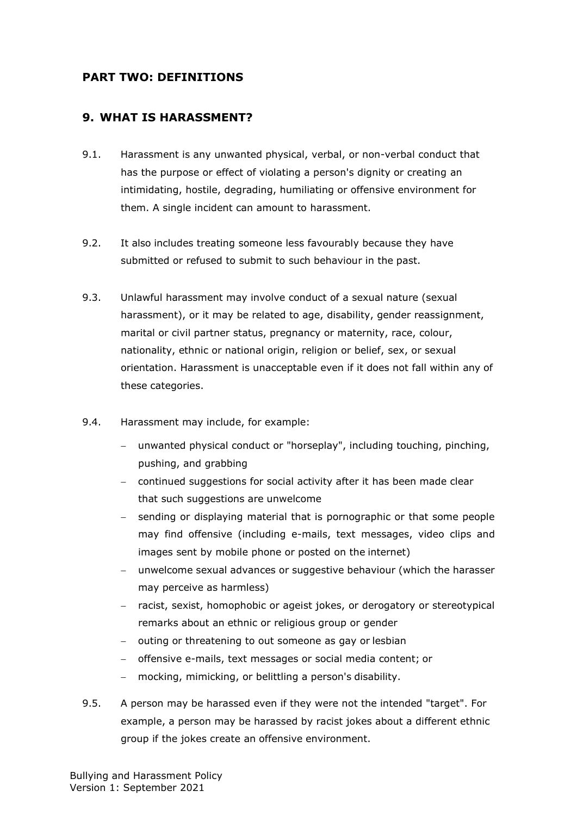#### <span id="page-6-0"></span>**PART TWO: DEFINITIONS**

#### <span id="page-6-1"></span>**9. WHAT IS HARASSMENT?**

- 9.1. Harassment is any unwanted physical, verbal, or non-verbal conduct that has the purpose or effect of violating a person's dignity or creating an intimidating, hostile, degrading, humiliating or offensive environment for them. A single incident can amount to harassment.
- 9.2. It also includes treating someone less favourably because they have submitted or refused to submit to such behaviour in the past.
- 9.3. Unlawful harassment may involve conduct of a sexual nature (sexual harassment), or it may be related to age, disability, gender reassignment, marital or civil partner status, pregnancy or maternity, race, colour, nationality, ethnic or national origin, religion or belief, sex, or sexual orientation. Harassment is unacceptable even if it does not fall within any of these categories.
- 9.4. Harassment may include, for example:
	- unwanted physical conduct or "horseplay", including touching, pinching, pushing, and grabbing
	- − continued suggestions for social activity after it has been made clear that such suggestions are unwelcome
	- sending or displaying material that is pornographic or that some people may find offensive (including e-mails, text messages, video clips and images sent by mobile phone or posted on the internet)
	- unwelcome sexual advances or suggestive behaviour (which the harasser may perceive as harmless)
	- − racist, sexist, homophobic or ageist jokes, or derogatory or stereotypical remarks about an ethnic or religious group or gender
	- − outing or threatening to out someone as gay or lesbian
	- − offensive e-mails, text messages or social media content; or
	- mocking, mimicking, or belittling a person's disability.
- 9.5. A person may be harassed even if they were not the intended "target". For example, a person may be harassed by racist jokes about a different ethnic group if the jokes create an offensive environment.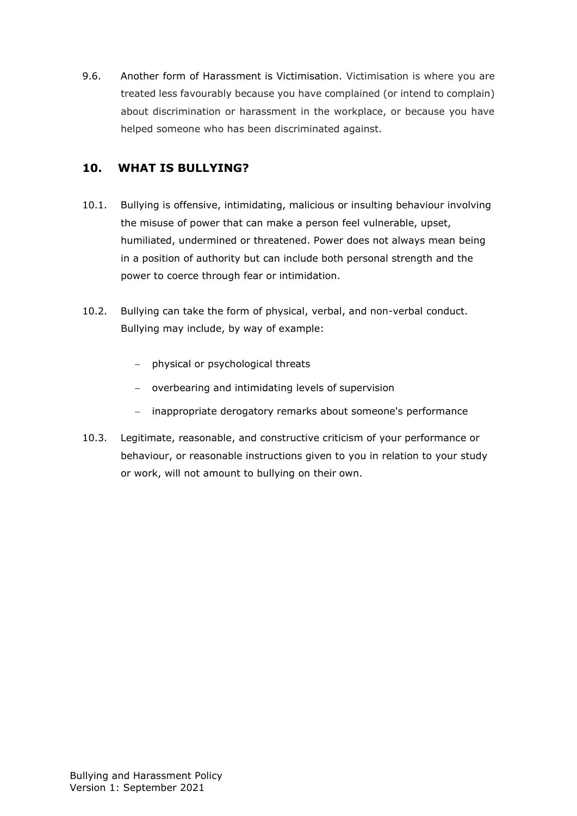9.6. Another form of Harassment is Victimisation. Victimisation is where you are treated less favourably because you have complained (or intend to complain) about discrimination or harassment in the workplace, or because you have helped someone who has been discriminated against.

#### <span id="page-7-0"></span>**10. WHAT IS BULLYING?**

- 10.1. Bullying is offensive, intimidating, malicious or insulting behaviour involving the misuse of power that can make a person feel vulnerable, upset, humiliated, undermined or threatened. Power does not always mean being in a position of authority but can include both personal strength and the power to coerce through fear or intimidation.
- 10.2. Bullying can take the form of physical, verbal, and non-verbal conduct. Bullying may include, by way of example:
	- − physical or psychological threats
	- − overbearing and intimidating levels of supervision
	- − inappropriate derogatory remarks about someone's performance
- 10.3. Legitimate, reasonable, and constructive criticism of your performance or behaviour, or reasonable instructions given to you in relation to your study or work, will not amount to bullying on their own.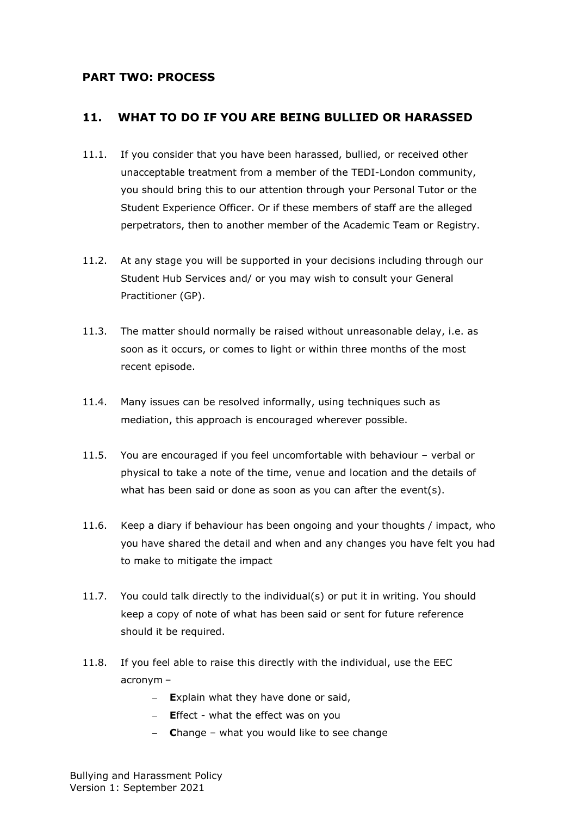#### <span id="page-8-0"></span>**PART TWO: PROCESS**

#### <span id="page-8-1"></span>**11. WHAT TO DO IF YOU ARE BEING BULLIED OR HARASSED**

- 11.1. If you consider that you have been harassed, bullied, or received other unacceptable treatment from a member of the TEDI-London community, you should bring this to our attention through your Personal Tutor or the Student Experience Officer. Or if these members of staff are the alleged perpetrators, then to another member of the Academic Team or Registry.
- 11.2. At any stage you will be supported in your decisions including through our Student Hub Services and/ or you may wish to consult your General Practitioner (GP).
- 11.3. The matter should normally be raised without unreasonable delay, i.e. as soon as it occurs, or comes to light or within three months of the most recent episode.
- 11.4. Many issues can be resolved informally, using techniques such as mediation, this approach is encouraged wherever possible.
- 11.5. You are encouraged if you feel uncomfortable with behaviour verbal or physical to take a note of the time, venue and location and the details of what has been said or done as soon as you can after the event(s).
- 11.6. Keep a diary if behaviour has been ongoing and your thoughts / impact, who you have shared the detail and when and any changes you have felt you had to make to mitigate the impact
- 11.7. You could talk directly to the individual(s) or put it in writing. You should keep a copy of note of what has been said or sent for future reference should it be required.
- 11.8. If you feel able to raise this directly with the individual, use the EEC acronym –
	- − **E**xplain what they have done or said,
	- − **E**ffect what the effect was on you
	- − **C**hange what you would like to see change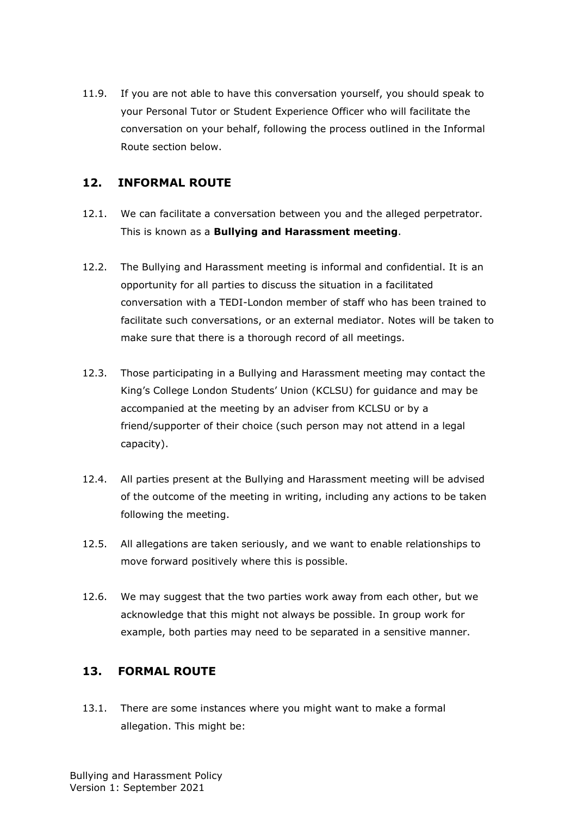11.9. If you are not able to have this conversation yourself, you should speak to your Personal Tutor or Student Experience Officer who will facilitate the conversation on your behalf, following the process outlined in the Informal Route section below.

#### <span id="page-9-0"></span>**12. INFORMAL ROUTE**

- 12.1. We can facilitate a conversation between you and the alleged perpetrator. This is known as a **Bullying and Harassment meeting**.
- 12.2. The Bullying and Harassment meeting is informal and confidential. It is an opportunity for all parties to discuss the situation in a facilitated conversation with a TEDI-London member of staff who has been trained to facilitate such conversations, or an external mediator. Notes will be taken to make sure that there is a thorough record of all meetings.
- 12.3. Those participating in a Bullying and Harassment meeting may contact the King's College London Students' Union (KCLSU) for guidance and may be accompanied at the meeting by an adviser from KCLSU or by a friend/supporter of their choice (such person may not attend in a legal capacity).
- 12.4. All parties present at the Bullying and Harassment meeting will be advised of the outcome of the meeting in writing, including any actions to be taken following the meeting.
- 12.5. All allegations are taken seriously, and we want to enable relationships to move forward positively where this is possible.
- 12.6. We may suggest that the two parties work away from each other, but we acknowledge that this might not always be possible. In group work for example, both parties may need to be separated in a sensitive manner.

#### <span id="page-9-1"></span>**13. FORMAL ROUTE**

13.1. There are some instances where you might want to make a formal allegation. This might be: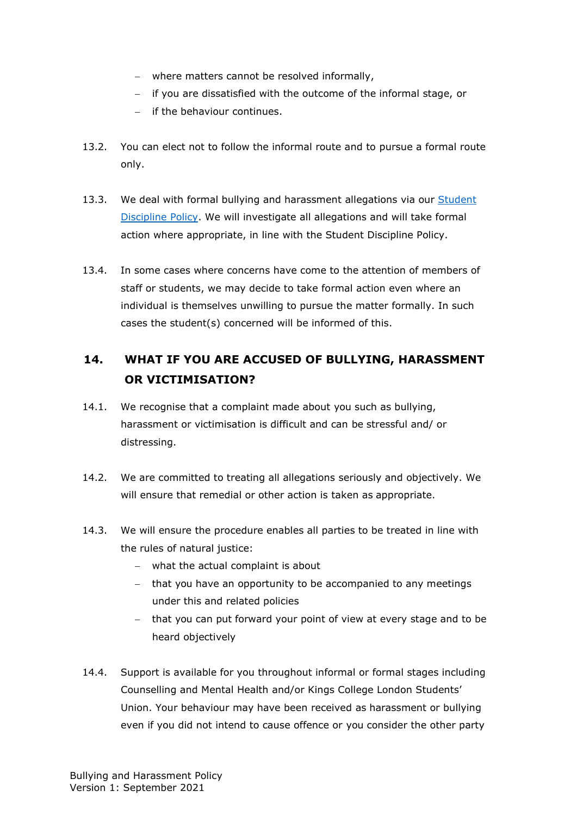- − where matters cannot be resolved informally,
- − if you are dissatisfied with the outcome of the informal stage, or
- − if the behaviour continues.
- 13.2. You can elect not to follow the informal route and to pursue a formal route only.
- 13.3. We deal with formal bullying and harassment allegations via our Student [Discipline](https://tedi-london.ac.uk/policies/) Policy. We will investigate all allegations and will take formal action where appropriate, in line with the Student Discipline Policy.
- 13.4. In some cases where concerns have come to the attention of members of staff or students, we may decide to take formal action even where an individual is themselves unwilling to pursue the matter formally. In such cases the student(s) concerned will be informed of this.

# <span id="page-10-0"></span>**14. WHAT IF YOU ARE ACCUSED OF BULLYING, HARASSMENT OR VICTIMISATION?**

- 14.1. We recognise that a complaint made about you such as bullying, harassment or victimisation is difficult and can be stressful and/ or distressing.
- 14.2. We are committed to treating all allegations seriously and objectively. We will ensure that remedial or other action is taken as appropriate.
- 14.3. We will ensure the procedure enables all parties to be treated in line with the rules of natural justice:
	- − what the actual complaint is about
	- − that you have an opportunity to be accompanied to any meetings under this and related policies
	- − that you can put forward your point of view at every stage and to be heard objectively
- 14.4. Support is available for you throughout informal or formal stages including Counselling and Mental Health and/or Kings College London Students' Union. Your behaviour may have been received as harassment or bullying even if you did not intend to cause offence or you consider the other party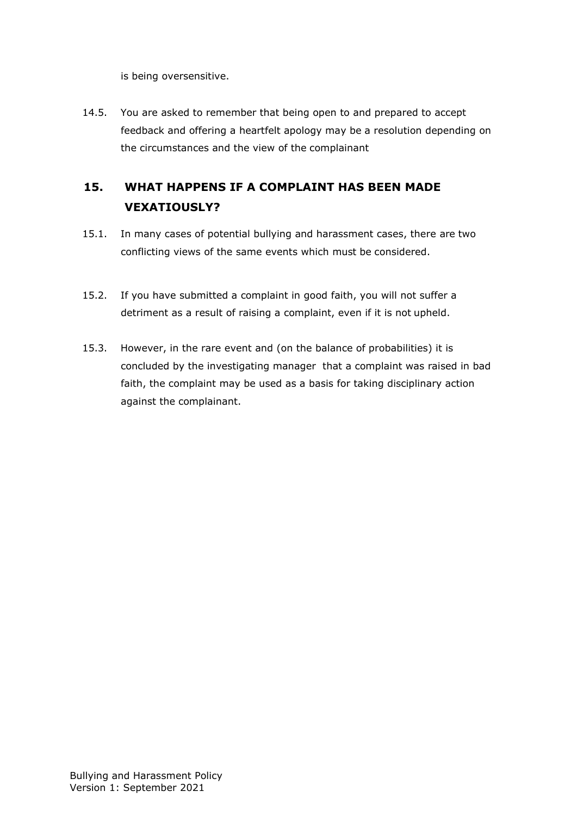is being oversensitive.

14.5. You are asked to remember that being open to and prepared to accept feedback and offering a heartfelt apology may be a resolution depending on the circumstances and the view of the complainant

# <span id="page-11-0"></span>**15. WHAT HAPPENS IF A COMPLAINT HAS BEEN MADE VEXATIOUSLY?**

- 15.1. In many cases of potential bullying and harassment cases, there are two conflicting views of the same events which must be considered.
- 15.2. If you have submitted a complaint in good faith, you will not suffer a detriment as a result of raising a complaint, even if it is not upheld.
- 15.3. However, in the rare event and (on the balance of probabilities) it is concluded by the investigating manager that a complaint was raised in bad faith, the complaint may be used as a basis for taking disciplinary action against the complainant.